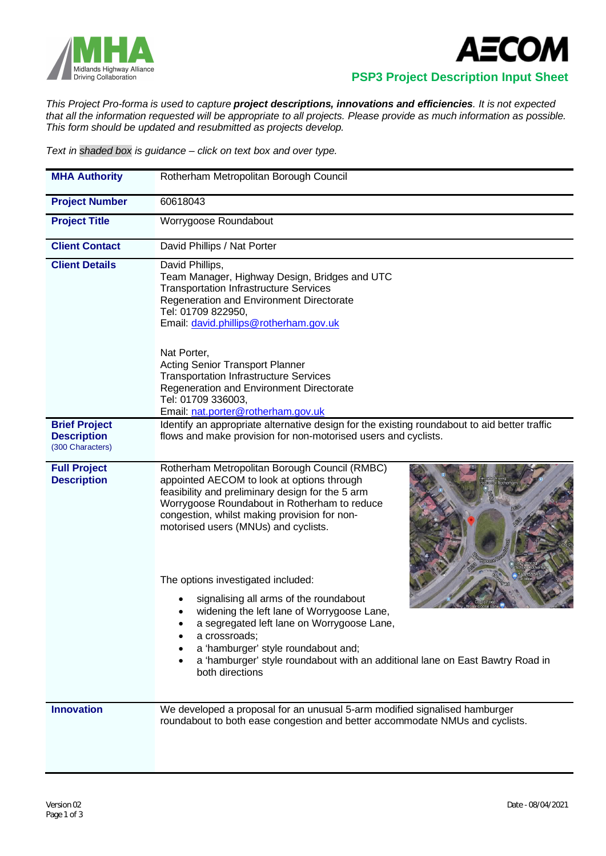



 **PSP3 Project Description Input Sheet**

*This Project Pro-forma is used to capture project descriptions, innovations and efficiencies. It is not expected that all the information requested will be appropriate to all projects. Please provide as much information as possible. This form should be updated and resubmitted as projects develop.*

*Text in shaded box is guidance – click on text box and over type.*

| <b>MHA Authority</b>                                           | Rotherham Metropolitan Borough Council                                                                                                                                                                                                                                                                                                                                                                                                                                                                                                                                                                                               |
|----------------------------------------------------------------|--------------------------------------------------------------------------------------------------------------------------------------------------------------------------------------------------------------------------------------------------------------------------------------------------------------------------------------------------------------------------------------------------------------------------------------------------------------------------------------------------------------------------------------------------------------------------------------------------------------------------------------|
| <b>Project Number</b>                                          | 60618043                                                                                                                                                                                                                                                                                                                                                                                                                                                                                                                                                                                                                             |
| <b>Project Title</b>                                           | Worrygoose Roundabout                                                                                                                                                                                                                                                                                                                                                                                                                                                                                                                                                                                                                |
| <b>Client Contact</b>                                          | David Phillips / Nat Porter                                                                                                                                                                                                                                                                                                                                                                                                                                                                                                                                                                                                          |
| <b>Client Details</b>                                          | David Phillips,<br>Team Manager, Highway Design, Bridges and UTC<br><b>Transportation Infrastructure Services</b><br>Regeneration and Environment Directorate<br>Tel: 01709 822950,<br>Email: david.phillips@rotherham.gov.uk<br>Nat Porter,<br><b>Acting Senior Transport Planner</b><br><b>Transportation Infrastructure Services</b><br>Regeneration and Environment Directorate<br>Tel: 01709 336003,<br>Email: nat.porter@rotherham.gov.uk                                                                                                                                                                                      |
| <b>Brief Project</b><br><b>Description</b><br>(300 Characters) | Identify an appropriate alternative design for the existing roundabout to aid better traffic<br>flows and make provision for non-motorised users and cyclists.                                                                                                                                                                                                                                                                                                                                                                                                                                                                       |
| <b>Full Project</b><br><b>Description</b>                      | Rotherham Metropolitan Borough Council (RMBC)<br>appointed AECOM to look at options through<br>feasibility and preliminary design for the 5 arm<br>Worrygoose Roundabout in Rotherham to reduce<br>congestion, whilst making provision for non-<br>motorised users (MNUs) and cyclists.<br>The options investigated included:<br>signalising all arms of the roundabout<br>widening the left lane of Worrygoose Lane,<br>a segregated left lane on Worrygoose Lane,<br>a crossroads;<br>٠<br>a 'hamburger' style roundabout and;<br>a 'hamburger' style roundabout with an additional lane on East Bawtry Road in<br>both directions |
| <b>Innovation</b>                                              | We developed a proposal for an unusual 5-arm modified signalised hamburger<br>roundabout to both ease congestion and better accommodate NMUs and cyclists.                                                                                                                                                                                                                                                                                                                                                                                                                                                                           |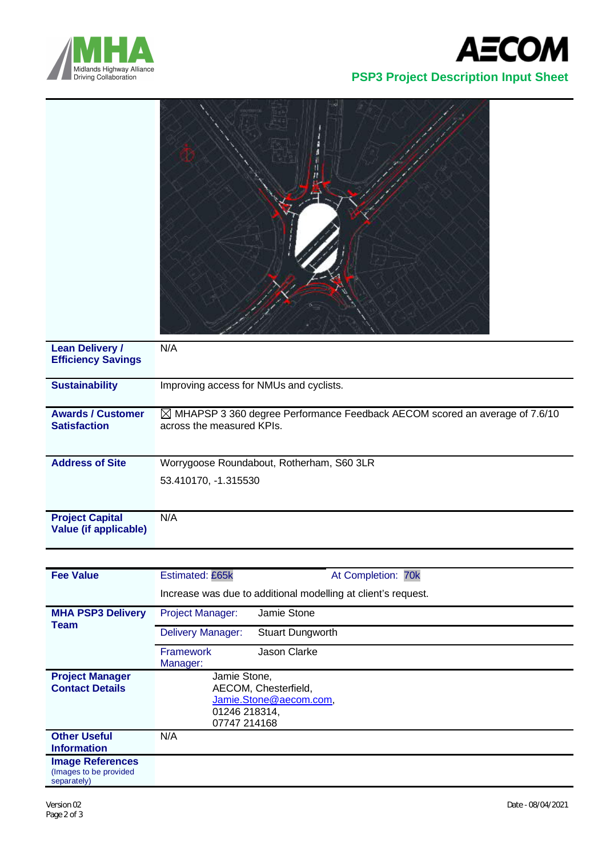



| <b>Lean Delivery /</b><br><b>Efficiency Savings</b>    | N/A                                                                                                                 |
|--------------------------------------------------------|---------------------------------------------------------------------------------------------------------------------|
| <b>Sustainability</b>                                  | Improving access for NMUs and cyclists.                                                                             |
| <b>Awards / Customer</b><br><b>Satisfaction</b>        | $\boxtimes$ MHAPSP 3 360 degree Performance Feedback AECOM scored an average of 7.6/10<br>across the measured KPIs. |
| <b>Address of Site</b>                                 | Worrygoose Roundabout, Rotherham, S60 3LR                                                                           |
|                                                        | 53.410170, -1.315530                                                                                                |
| <b>Project Capital</b><br><b>Value (if applicable)</b> | N/A                                                                                                                 |

| <b>Fee Value</b>                                                 | At Completion: 70k<br>Estimated: £65k                         |  |  |  |
|------------------------------------------------------------------|---------------------------------------------------------------|--|--|--|
|                                                                  | Increase was due to additional modelling at client's request. |  |  |  |
| <b>MHA PSP3 Delivery</b><br>Team                                 | Jamie Stone<br><b>Project Manager:</b>                        |  |  |  |
|                                                                  | <b>Delivery Manager:</b><br><b>Stuart Dungworth</b>           |  |  |  |
|                                                                  | Jason Clarke<br><b>Framework</b><br>Manager:                  |  |  |  |
| <b>Project Manager</b>                                           | Jamie Stone,                                                  |  |  |  |
| <b>Contact Details</b>                                           | AECOM, Chesterfield,                                          |  |  |  |
|                                                                  | Jamie.Stone@aecom.com,                                        |  |  |  |
|                                                                  | 01246 218314,                                                 |  |  |  |
|                                                                  | 07747 214168                                                  |  |  |  |
| <b>Other Useful</b>                                              | N/A                                                           |  |  |  |
| <b>Information</b>                                               |                                                               |  |  |  |
| <b>Image References</b><br>(Images to be provided<br>separately) |                                                               |  |  |  |